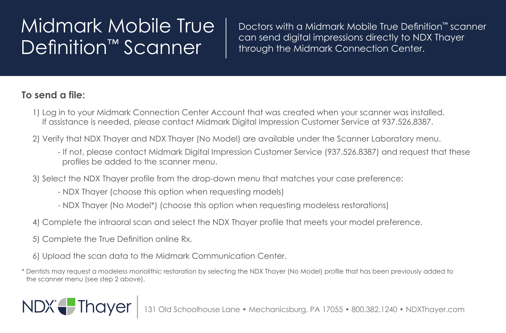## Midmark Mobile True Definition<sup>™</sup> Scanner

Doctors with a Midmark Mobile True Definition™ scanner can send digital impressions directly to NDX Thayer through the Midmark Connection Center.

## **To send a file:**

- 1) Log in to your Midmark Connection Center Account that was created when your scanner was installed. If assistance is needed, please contact Midmark Digital Impression Customer Service at 937.526.8387.
- 2) Verify that NDX Thayer and NDX Thayer (No Model) are available under the Scanner Laboratory menu.
	- If not, please contact Midmark Digital Impression Customer Service (937.526.8387) and request that these profiles be added to the scanner menu.
- 3) Select the NDX Thayer profile from the drop-down menu that matches your case preference:
	- NDX Thayer (choose this option when requesting models)
	- NDX Thayer (No Model\*) (choose this option when requesting modeless restorations)
- 4) Complete the intraoral scan and select the NDX Thayer profile that meets your model preference.
- 5) Complete the True Definition online Rx.

NDX Thayer

- 6) Upload the scan data to the Midmark Communication Center.
- \* Dentists may request a modeless monolithic restoration by selecting the NDX Thayer (No Model) profile that has been previously added to the scanner menu (see step 2 above).

## ld Schoolhouse Lane • Mechanicsburg, PA 17055 • 800.382.1240 • NDXThayer.com